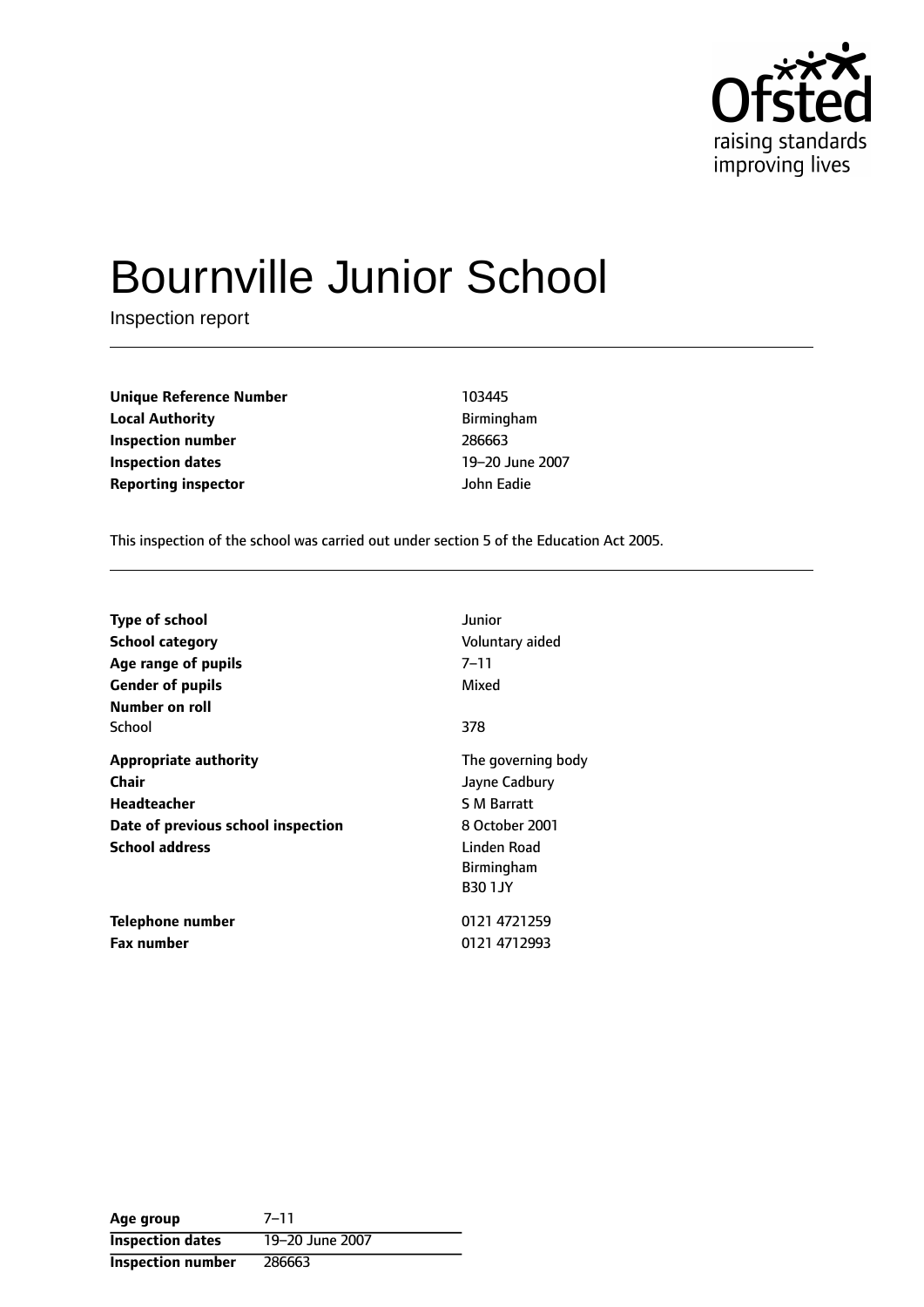

# Bournville Junior School

Inspection report

**Unique Reference Number** 103445 **Local Authority Birmingham Inspection number** 286663 **Inspection dates** 19-20 June 2007 **Reporting inspector** John Eadie

This inspection of the school was carried out under section 5 of the Education Act 2005.

| <b>Type of school</b><br>School category<br>Age range of pupils<br><b>Gender of pupils</b><br>Number on roll               | Junior<br>Voluntary aided<br>$7 - 11$<br>Mixed                                                                                    |
|----------------------------------------------------------------------------------------------------------------------------|-----------------------------------------------------------------------------------------------------------------------------------|
| School                                                                                                                     | 378                                                                                                                               |
| <b>Appropriate authority</b><br>Chair<br><b>Headteacher</b><br>Date of previous school inspection<br><b>School address</b> | The governing body<br>Jayne Cadbury<br><b>S M Barratt</b><br>8 October 2001<br>Linden Road<br><b>Birmingham</b><br><b>B30 1JY</b> |
| Telephone number<br><b>Fax number</b>                                                                                      | 0121 4721259<br>0121 4712993                                                                                                      |

Age group 7-11 **Inspection dates** 19-20 June 2007 **Inspection number** 286663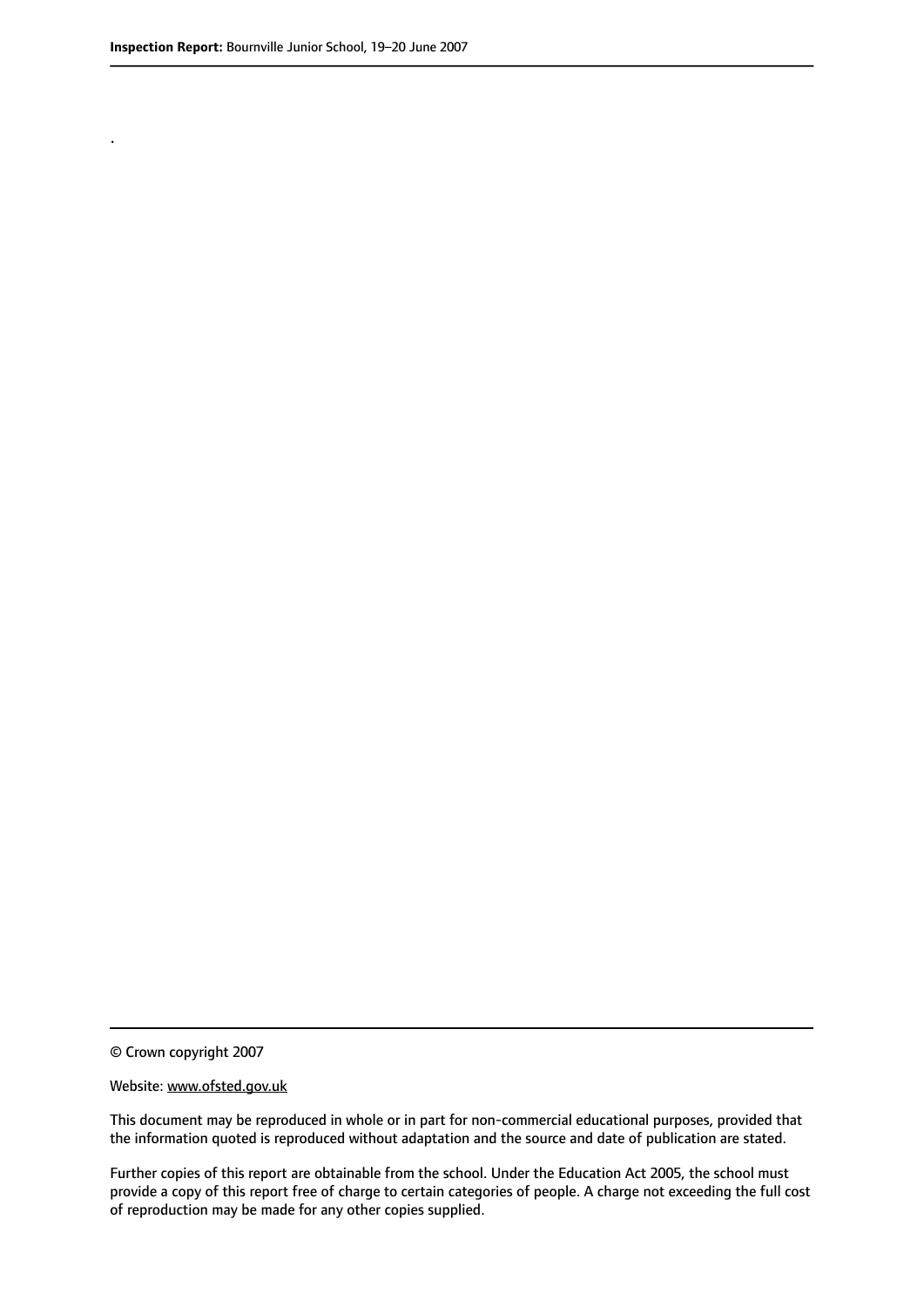.

© Crown copyright 2007

#### Website: www.ofsted.gov.uk

This document may be reproduced in whole or in part for non-commercial educational purposes, provided that the information quoted is reproduced without adaptation and the source and date of publication are stated.

Further copies of this report are obtainable from the school. Under the Education Act 2005, the school must provide a copy of this report free of charge to certain categories of people. A charge not exceeding the full cost of reproduction may be made for any other copies supplied.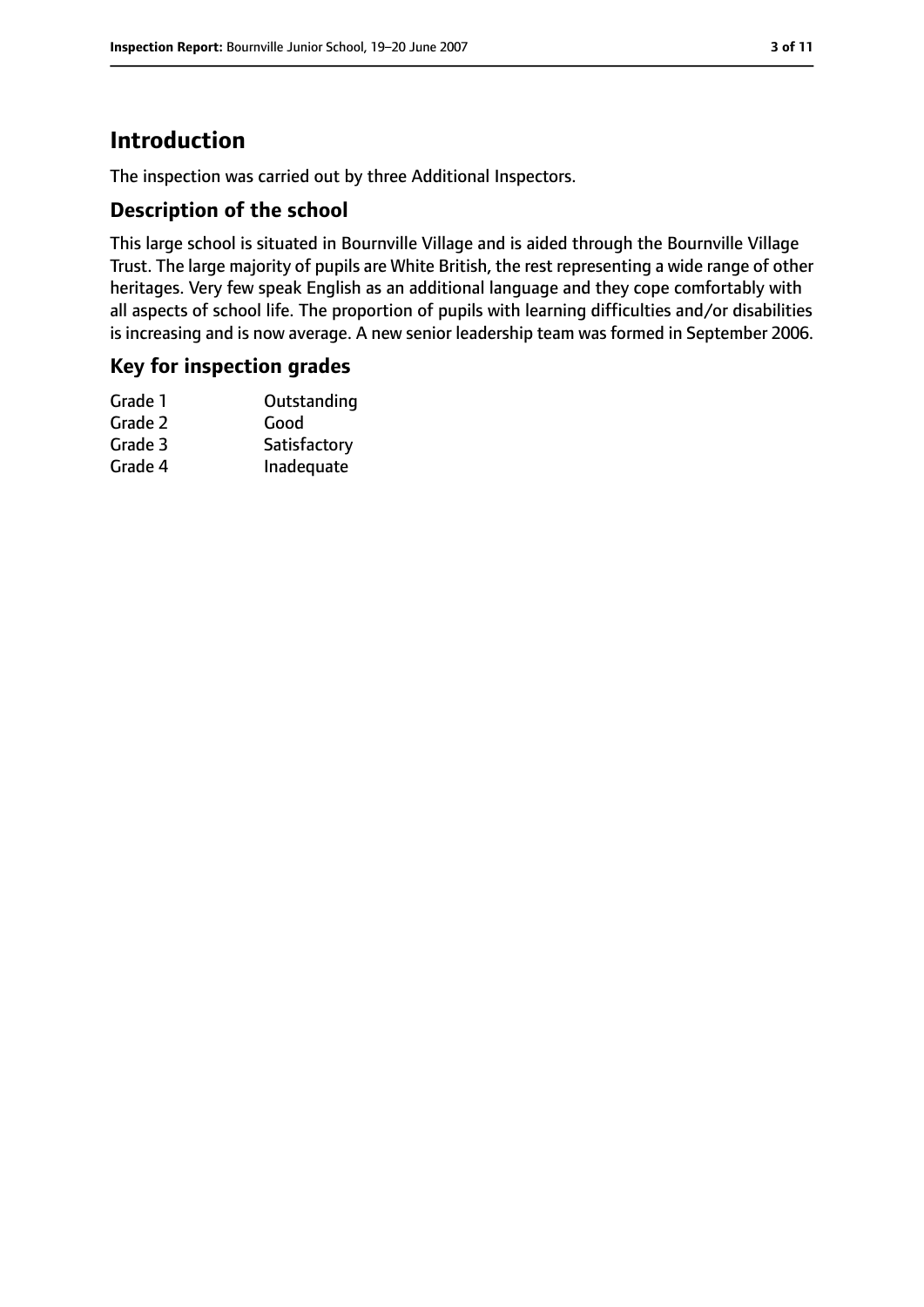# **Introduction**

The inspection was carried out by three Additional Inspectors.

## **Description of the school**

This large school is situated in Bournville Village and is aided through the Bournville Village Trust. The large majority of pupils are White British, the rest representing a wide range of other heritages. Very few speak English as an additional language and they cope comfortably with all aspects of school life. The proportion of pupils with learning difficulties and/or disabilities is increasing and is now average. A new senior leadership team was formed in September 2006.

## **Key for inspection grades**

| Outstanding  |
|--------------|
| Good         |
| Satisfactory |
| Inadequate   |
|              |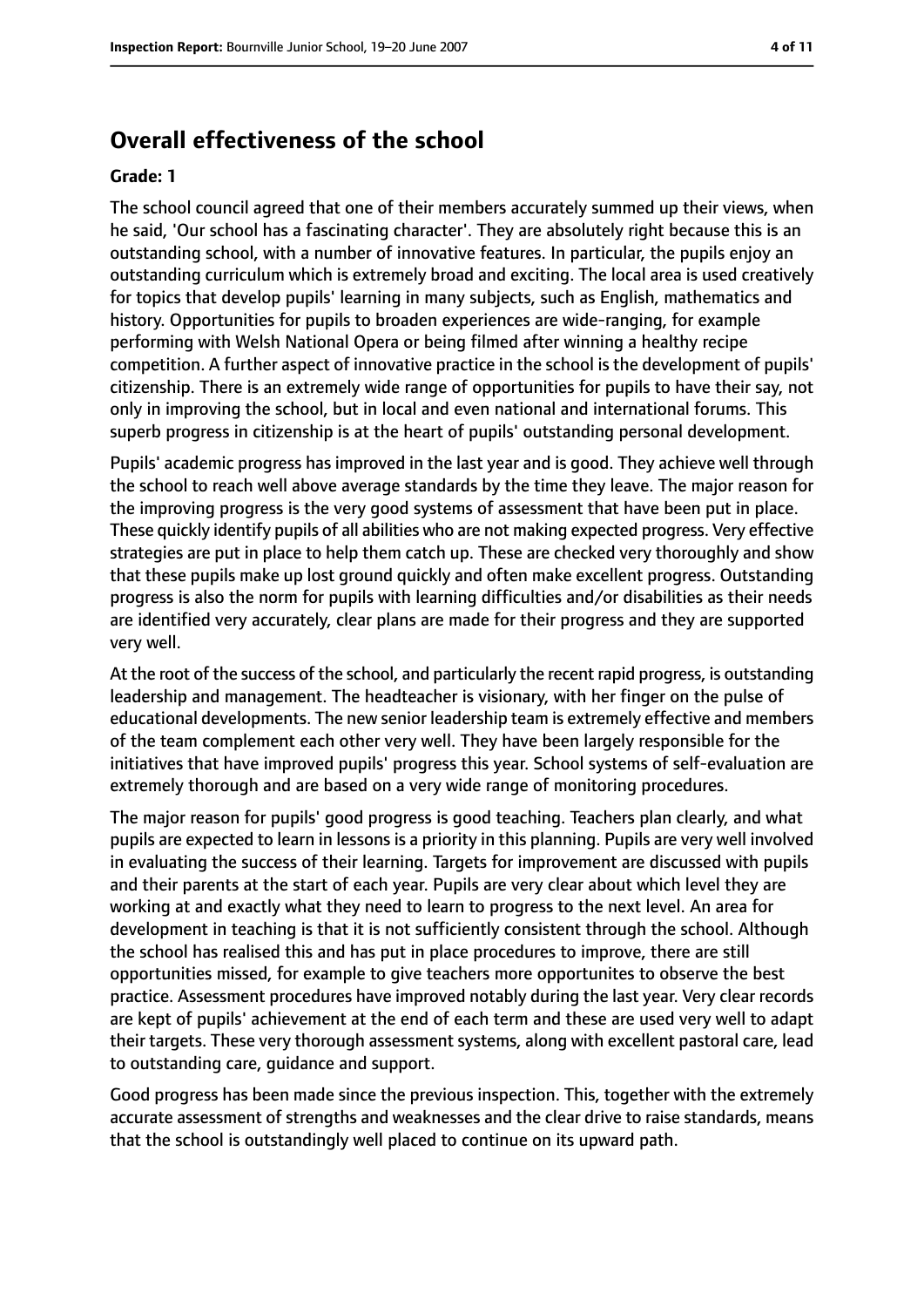# **Overall effectiveness of the school**

#### **Grade: 1**

The school council agreed that one of their members accurately summed up their views, when he said, 'Our school has a fascinating character'. They are absolutely right because this is an outstanding school, with a number of innovative features. In particular, the pupils enjoy an outstanding curriculum which is extremely broad and exciting. The local area is used creatively for topics that develop pupils' learning in many subjects, such as English, mathematics and history. Opportunities for pupils to broaden experiences are wide-ranging, for example performing with Welsh National Opera or being filmed after winning a healthy recipe competition. A further aspect of innovative practice in the school is the development of pupils' citizenship. There is an extremely wide range of opportunities for pupils to have their say, not only in improving the school, but in local and even national and international forums. This superb progress in citizenship is at the heart of pupils' outstanding personal development.

Pupils' academic progress has improved in the last year and is good. They achieve well through the school to reach well above average standards by the time they leave. The major reason for the improving progress is the very good systems of assessment that have been put in place. These quickly identify pupils of all abilities who are not making expected progress. Very effective strategies are put in place to help them catch up. These are checked very thoroughly and show that these pupils make up lost ground quickly and often make excellent progress. Outstanding progress is also the norm for pupils with learning difficulties and/or disabilities as their needs are identified very accurately, clear plans are made for their progress and they are supported very well.

At the root of the success of the school, and particularly the recent rapid progress, is outstanding leadership and management. The headteacher is visionary, with her finger on the pulse of educational developments. The new senior leadership team is extremely effective and members of the team complement each other very well. They have been largely responsible for the initiatives that have improved pupils' progress this year. School systems of self-evaluation are extremely thorough and are based on a very wide range of monitoring procedures.

The major reason for pupils' good progress is good teaching. Teachers plan clearly, and what pupils are expected to learn in lessons is a priority in this planning. Pupils are very well involved in evaluating the success of their learning. Targets for improvement are discussed with pupils and their parents at the start of each year. Pupils are very clear about which level they are working at and exactly what they need to learn to progress to the next level. An area for development in teaching is that it is not sufficiently consistent through the school. Although the school has realised this and has put in place procedures to improve, there are still opportunities missed, for example to give teachers more opportunites to observe the best practice. Assessment procedures have improved notably during the last year. Very clear records are kept of pupils' achievement at the end of each term and these are used very well to adapt their targets. These very thorough assessment systems, along with excellent pastoral care, lead to outstanding care, guidance and support.

Good progress has been made since the previous inspection. This, together with the extremely accurate assessment of strengths and weaknesses and the clear drive to raise standards, means that the school is outstandingly well placed to continue on its upward path.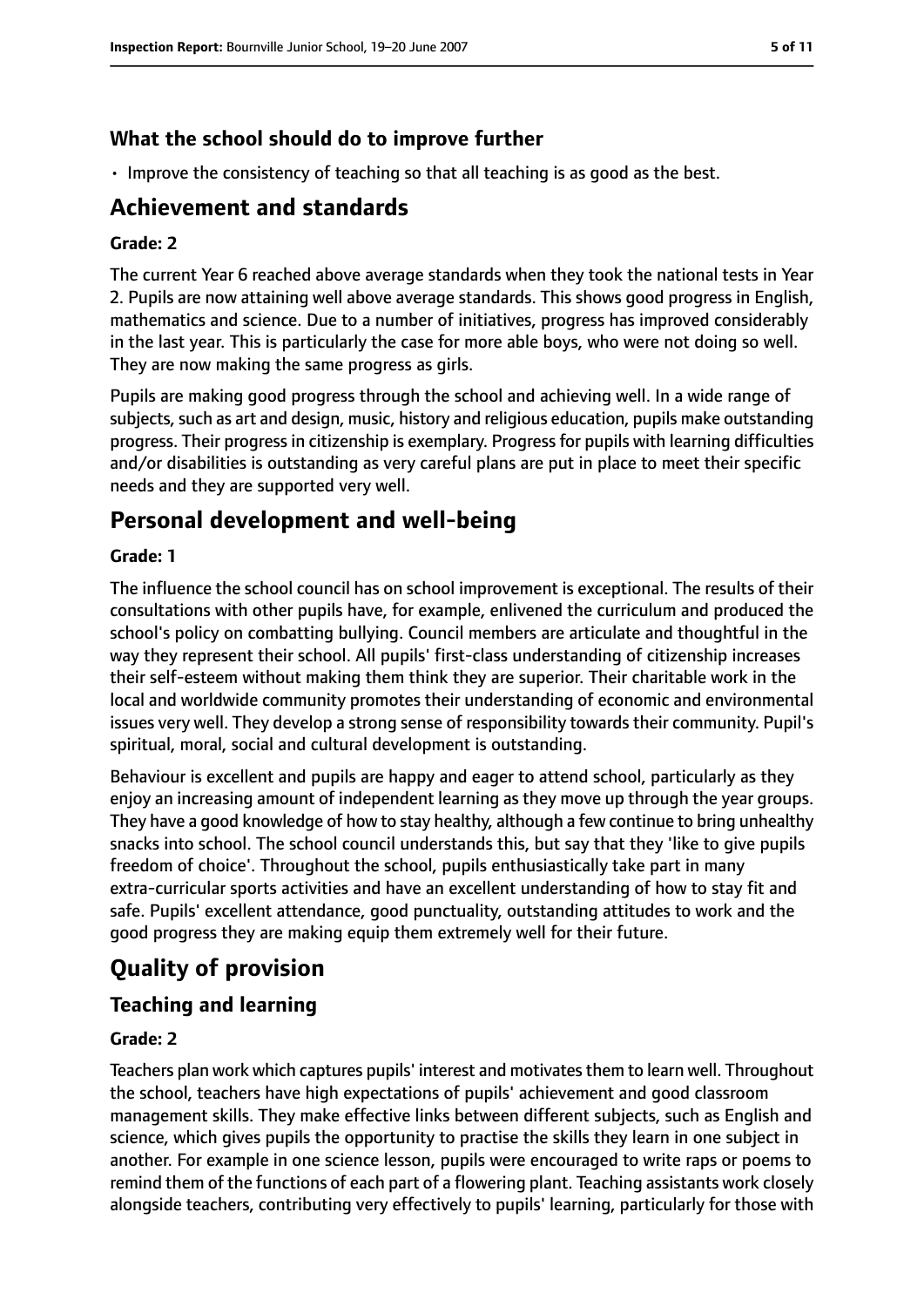## **What the school should do to improve further**

• Improve the consistency of teaching so that all teaching is as good as the best.

# **Achievement and standards**

#### **Grade: 2**

The current Year 6 reached above average standards when they took the national tests in Year 2. Pupils are now attaining well above average standards. This shows good progress in English, mathematics and science. Due to a number of initiatives, progress has improved considerably in the last year. This is particularly the case for more able boys, who were not doing so well. They are now making the same progress as girls.

Pupils are making good progress through the school and achieving well. In a wide range of subjects, such as art and design, music, history and religious education, pupils make outstanding progress. Their progress in citizenship is exemplary. Progress for pupils with learning difficulties and/or disabilities is outstanding as very careful plans are put in place to meet their specific needs and they are supported very well.

# **Personal development and well-being**

#### **Grade: 1**

The influence the school council has on school improvement is exceptional. The results of their consultations with other pupils have, for example, enlivened the curriculum and produced the school's policy on combatting bullying. Council members are articulate and thoughtful in the way they represent their school. All pupils' first-class understanding of citizenship increases their self-esteem without making them think they are superior. Their charitable work in the local and worldwide community promotes their understanding of economic and environmental issues very well. They develop a strong sense of responsibility towards their community. Pupil's spiritual, moral, social and cultural development is outstanding.

Behaviour is excellent and pupils are happy and eager to attend school, particularly as they enjoy an increasing amount of independent learning as they move up through the year groups. They have a good knowledge of how to stay healthy, although a few continue to bring unhealthy snacks into school. The school council understands this, but say that they 'like to give pupils freedom of choice'. Throughout the school, pupils enthusiastically take part in many extra-curricular sports activities and have an excellent understanding of how to stay fit and safe. Pupils' excellent attendance, good punctuality, outstanding attitudes to work and the good progress they are making equip them extremely well for their future.

# **Quality of provision**

# **Teaching and learning**

## **Grade: 2**

Teachers plan work which captures pupils' interest and motivatesthem to learn well. Throughout the school, teachers have high expectations of pupils' achievement and good classroom management skills. They make effective links between different subjects, such as English and science, which gives pupils the opportunity to practise the skills they learn in one subject in another. For example in one science lesson, pupils were encouraged to write raps or poems to remind them of the functions of each part of a flowering plant. Teaching assistants work closely alongside teachers, contributing very effectively to pupils' learning, particularly for those with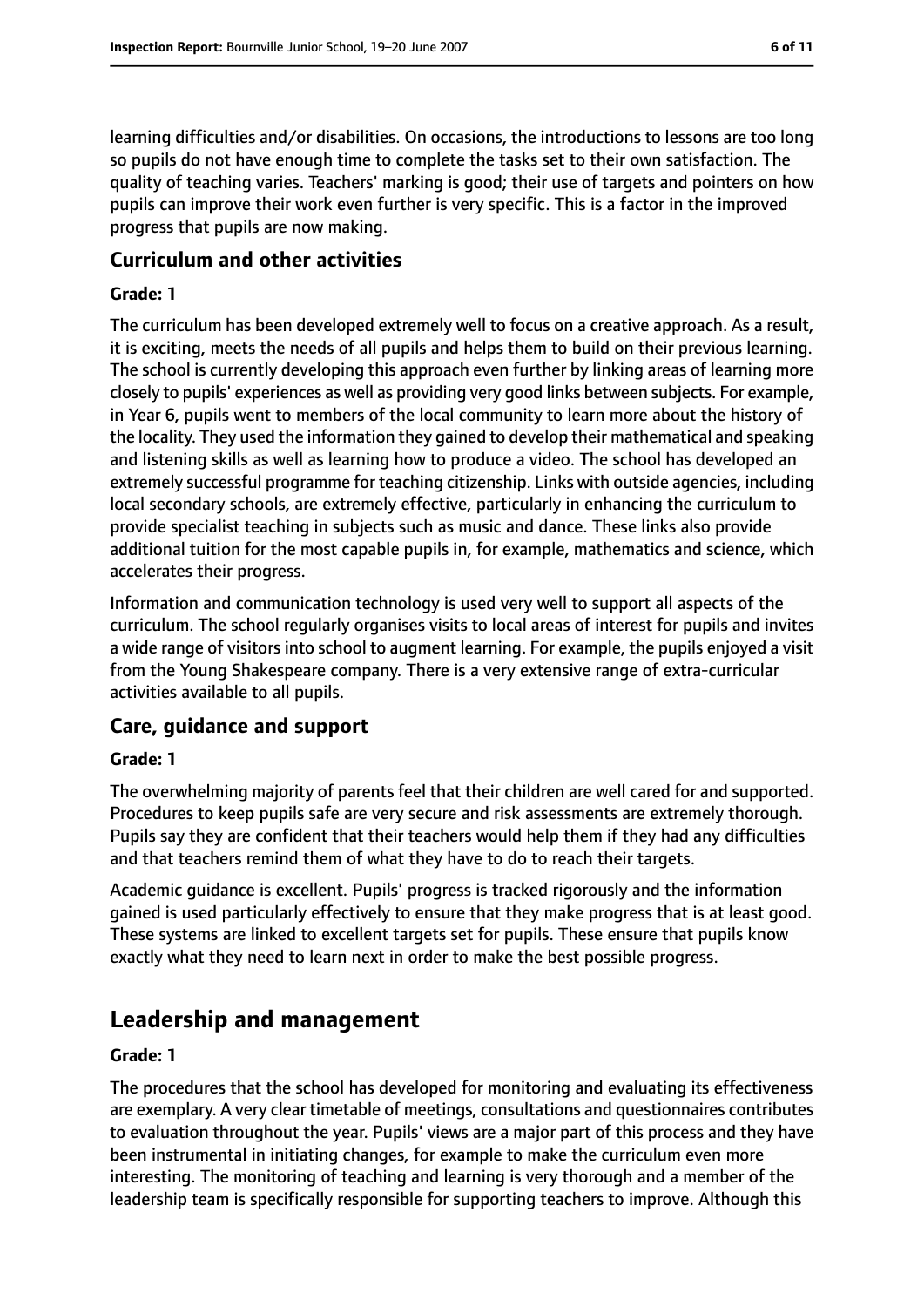learning difficulties and/or disabilities. On occasions, the introductions to lessons are too long so pupils do not have enough time to complete the tasks set to their own satisfaction. The quality of teaching varies. Teachers' marking is good; their use of targets and pointers on how pupils can improve their work even further is very specific. This is a factor in the improved progress that pupils are now making.

## **Curriculum and other activities**

#### **Grade: 1**

The curriculum has been developed extremely well to focus on a creative approach. As a result, it is exciting, meets the needs of all pupils and helps them to build on their previous learning. The school is currently developing this approach even further by linking areas of learning more closely to pupils' experiences as well as providing very good links between subjects. For example, in Year 6, pupils went to members of the local community to learn more about the history of the locality. They used the information they gained to develop their mathematical and speaking and listening skills as well as learning how to produce a video. The school has developed an extremely successful programme for teaching citizenship. Links with outside agencies, including local secondary schools, are extremely effective, particularly in enhancing the curriculum to provide specialist teaching in subjects such as music and dance. These links also provide additional tuition for the most capable pupils in, for example, mathematics and science, which accelerates their progress.

Information and communication technology is used very well to support all aspects of the curriculum. The school regularly organises visits to local areas of interest for pupils and invites a wide range of visitors into school to augment learning. For example, the pupils enjoyed a visit from the Young Shakespeare company. There is a very extensive range of extra-curricular activities available to all pupils.

## **Care, guidance and support**

#### **Grade: 1**

The overwhelming majority of parents feel that their children are well cared for and supported. Procedures to keep pupils safe are very secure and risk assessments are extremely thorough. Pupils say they are confident that their teachers would help them if they had any difficulties and that teachers remind them of what they have to do to reach their targets.

Academic guidance is excellent. Pupils' progress is tracked rigorously and the information gained is used particularly effectively to ensure that they make progress that is at least good. These systems are linked to excellent targets set for pupils. These ensure that pupils know exactly what they need to learn next in order to make the best possible progress.

# **Leadership and management**

#### **Grade: 1**

The procedures that the school has developed for monitoring and evaluating its effectiveness are exemplary. A very clear timetable of meetings, consultations and questionnaires contributes to evaluation throughout the year. Pupils' views are a major part of this process and they have been instrumental in initiating changes, for example to make the curriculum even more interesting. The monitoring of teaching and learning is very thorough and a member of the leadership team is specifically responsible for supporting teachers to improve. Although this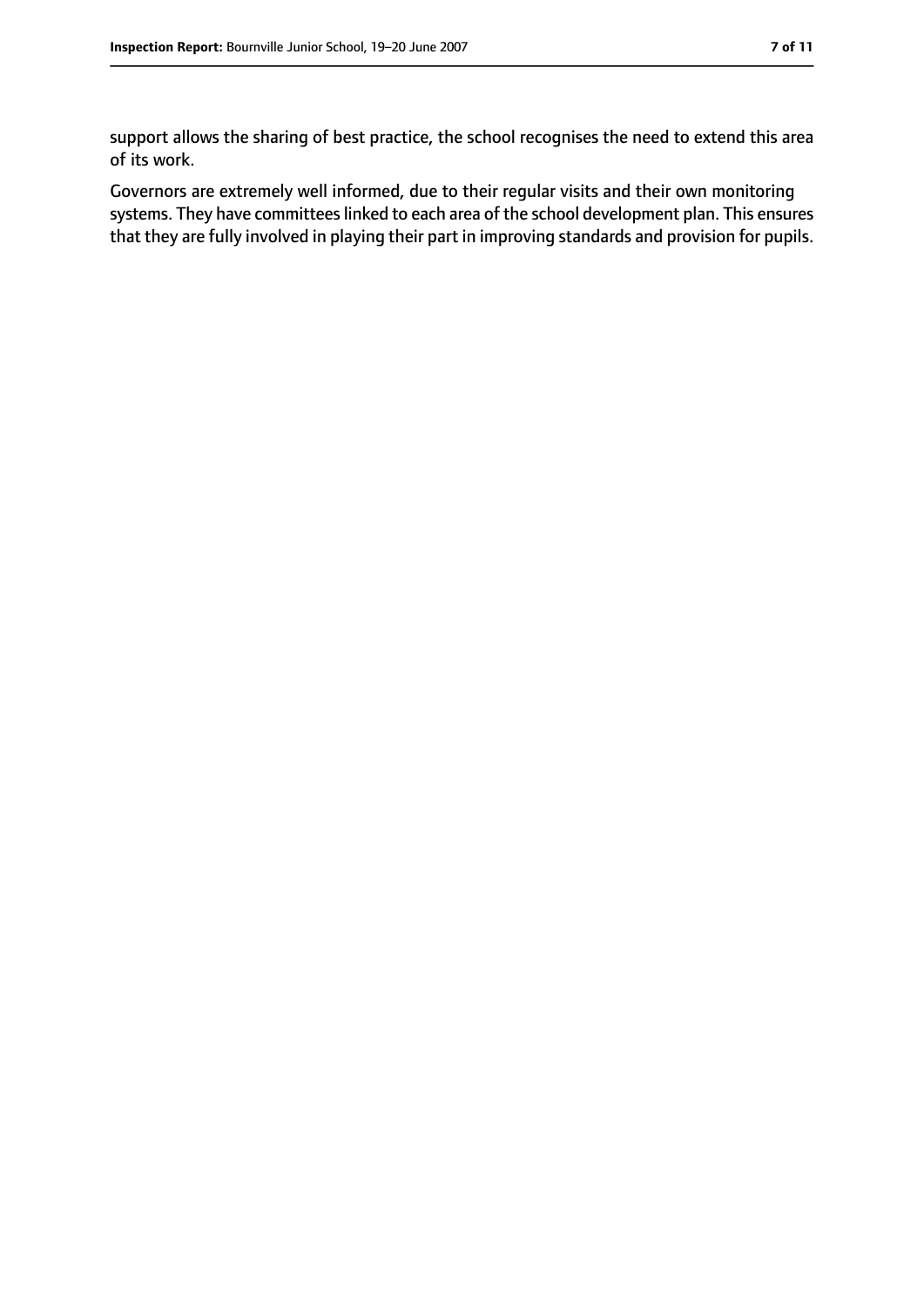support allows the sharing of best practice, the school recognises the need to extend this area of its work.

Governors are extremely well informed, due to their regular visits and their own monitoring systems. They have committees linked to each area of the school development plan. This ensures that they are fully involved in playing their part in improving standards and provision for pupils.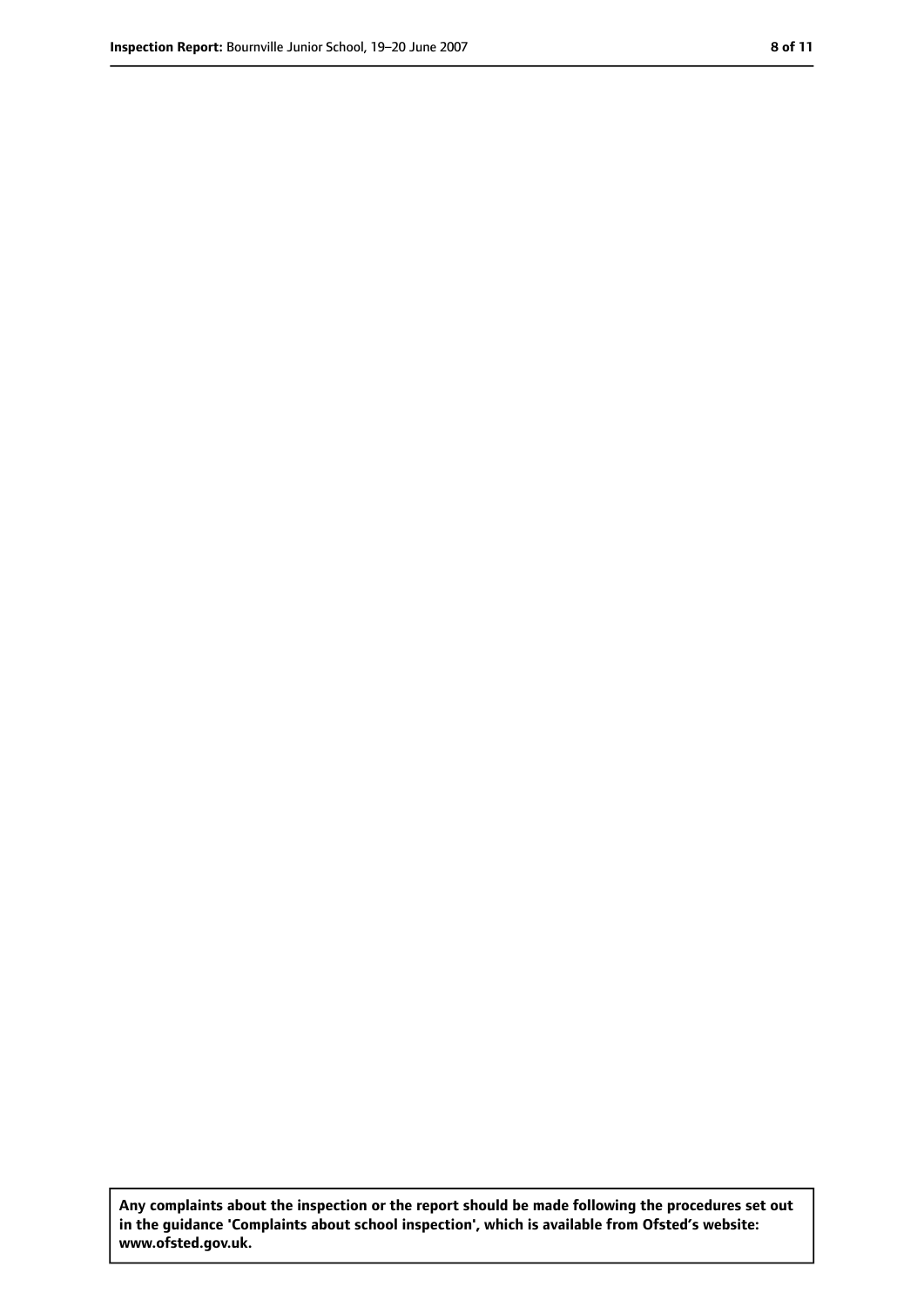**Any complaints about the inspection or the report should be made following the procedures set out in the guidance 'Complaints about school inspection', which is available from Ofsted's website: www.ofsted.gov.uk.**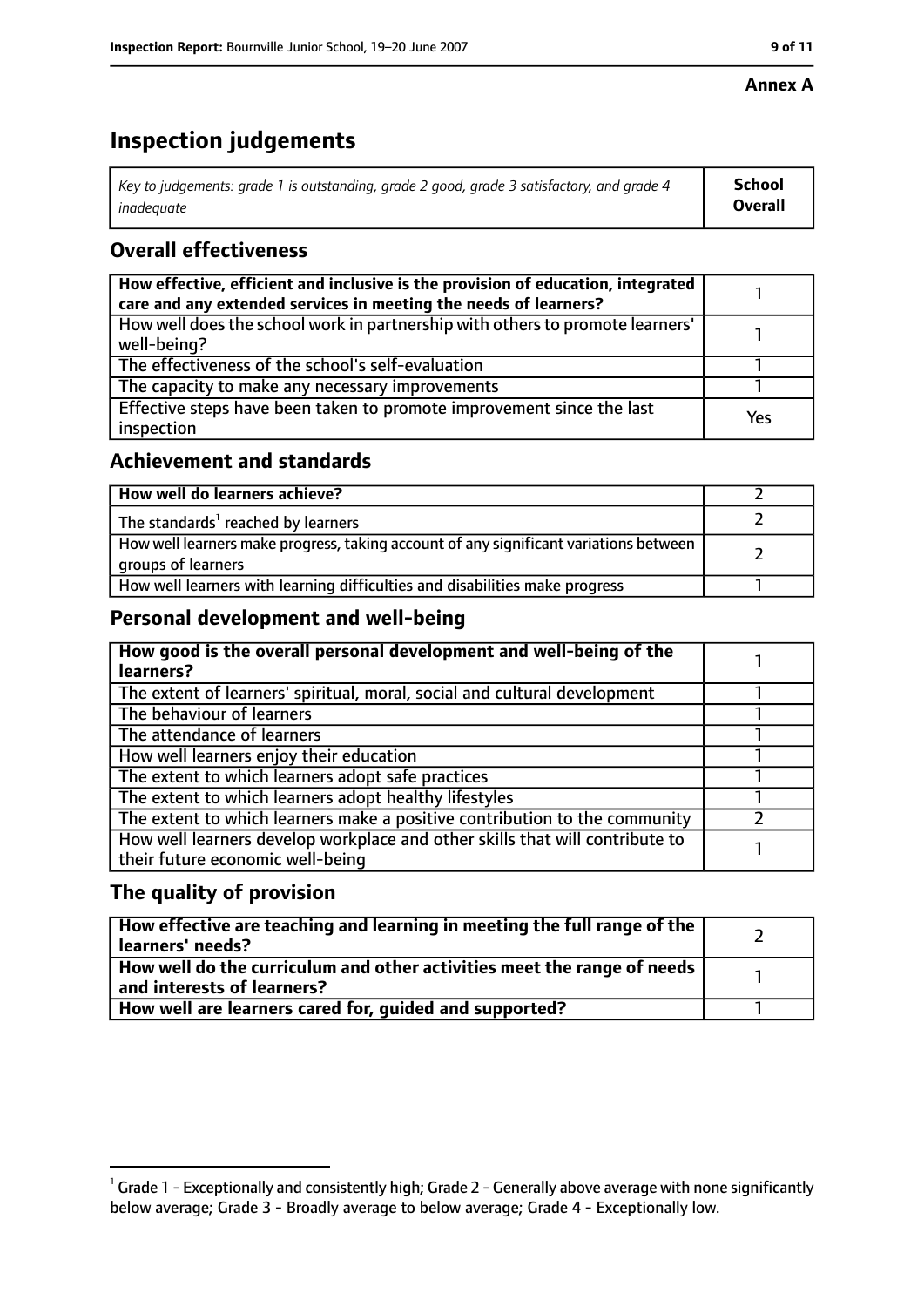#### **Annex A**

# **Inspection judgements**

| Key to judgements: grade 1 is outstanding, grade 2 good, grade 3 satisfactory, and grade 4 | School         |
|--------------------------------------------------------------------------------------------|----------------|
| inadeguate                                                                                 | <b>Overall</b> |

## **Overall effectiveness**

| How effective, efficient and inclusive is the provision of education, integrated<br>care and any extended services in meeting the needs of learners? |     |
|------------------------------------------------------------------------------------------------------------------------------------------------------|-----|
| How well does the school work in partnership with others to promote learners'<br>well-being?                                                         |     |
| The effectiveness of the school's self-evaluation                                                                                                    |     |
| The capacity to make any necessary improvements                                                                                                      |     |
| Effective steps have been taken to promote improvement since the last<br>inspection                                                                  | Yes |

## **Achievement and standards**

| How well do learners achieve?                                                                               |  |
|-------------------------------------------------------------------------------------------------------------|--|
| The standards <sup>1</sup> reached by learners                                                              |  |
| How well learners make progress, taking account of any significant variations between<br>groups of learners |  |
| How well learners with learning difficulties and disabilities make progress                                 |  |

## **Personal development and well-being**

| How good is the overall personal development and well-being of the<br>learners?                                  |  |
|------------------------------------------------------------------------------------------------------------------|--|
| The extent of learners' spiritual, moral, social and cultural development                                        |  |
| The behaviour of learners                                                                                        |  |
| The attendance of learners                                                                                       |  |
| How well learners enjoy their education                                                                          |  |
| The extent to which learners adopt safe practices                                                                |  |
| The extent to which learners adopt healthy lifestyles                                                            |  |
| The extent to which learners make a positive contribution to the community                                       |  |
| How well learners develop workplace and other skills that will contribute to<br>their future economic well-being |  |

## **The quality of provision**

| How effective are teaching and learning in meeting the full range of the<br>learners' needs?          |  |
|-------------------------------------------------------------------------------------------------------|--|
| How well do the curriculum and other activities meet the range of needs<br>and interests of learners? |  |
| How well are learners cared for, quided and supported?                                                |  |

 $^1$  Grade 1 - Exceptionally and consistently high; Grade 2 - Generally above average with none significantly below average; Grade 3 - Broadly average to below average; Grade 4 - Exceptionally low.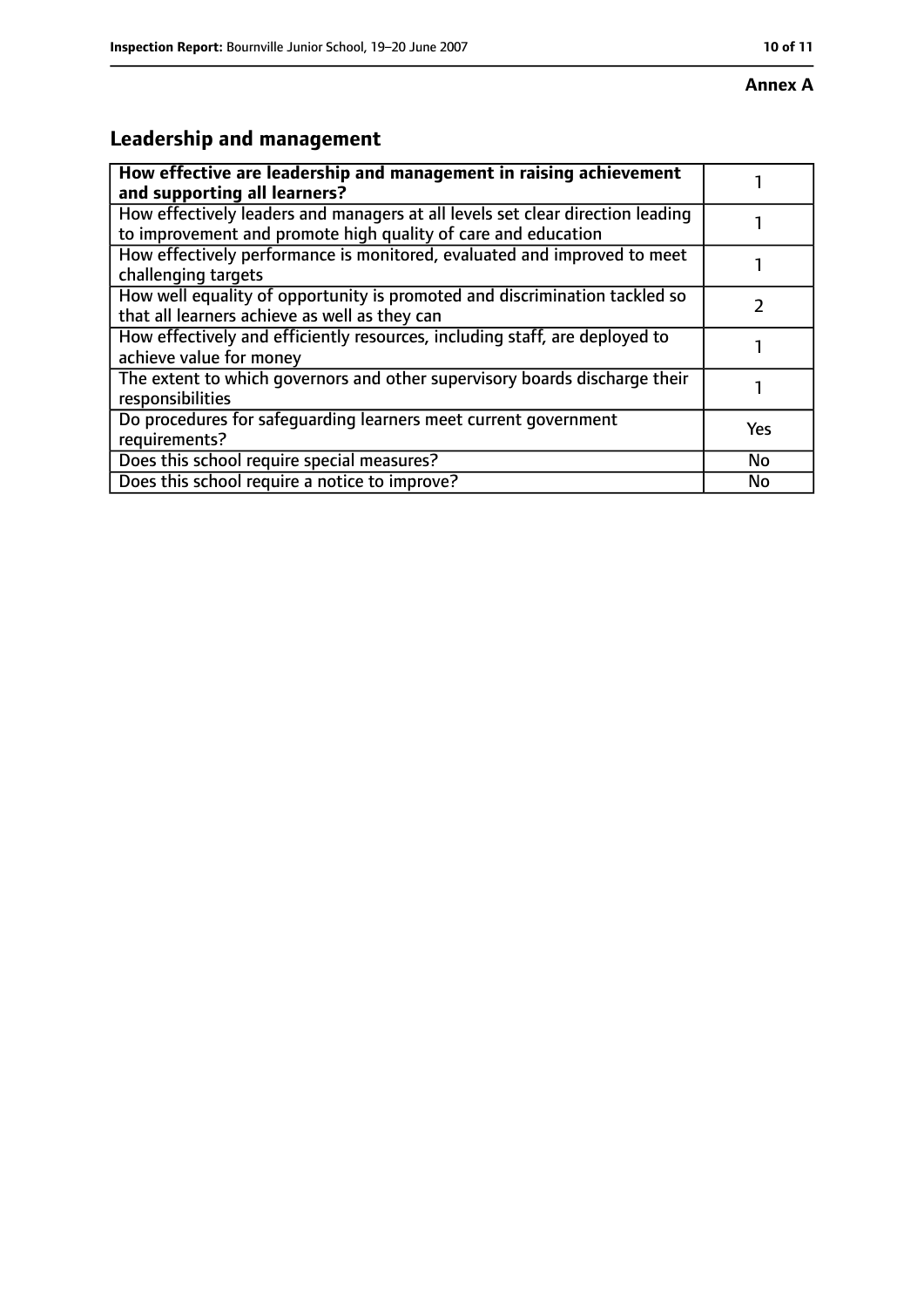# **Leadership and management**

| How effective are leadership and management in raising achievement<br>and supporting all learners?                                              |     |
|-------------------------------------------------------------------------------------------------------------------------------------------------|-----|
| How effectively leaders and managers at all levels set clear direction leading<br>to improvement and promote high quality of care and education |     |
| How effectively performance is monitored, evaluated and improved to meet<br>challenging targets                                                 |     |
| How well equality of opportunity is promoted and discrimination tackled so<br>that all learners achieve as well as they can                     |     |
| How effectively and efficiently resources, including staff, are deployed to<br>achieve value for money                                          |     |
| The extent to which governors and other supervisory boards discharge their<br>responsibilities                                                  |     |
| Do procedures for safeguarding learners meet current government<br>requirements?                                                                | Yes |
| Does this school require special measures?                                                                                                      | No  |
| Does this school require a notice to improve?                                                                                                   | No  |